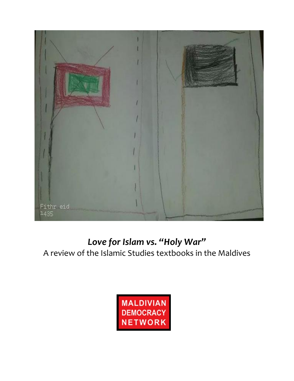

# Love for Islam vs. "Holy War"

A review of the Islamic Studies textbooks in the Maldives

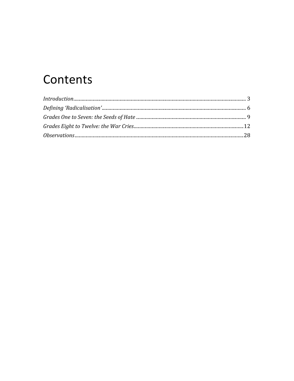# Contents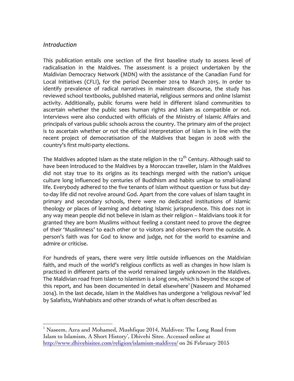#### *Introduction*

This publication entails one section of the first baseline study to assess level of radicalisation in the Maldives. The assessment is a project undertaken by the Maldivian Democracy Network (MDN) with the assistance of the Canadian Fund for Local Initiatives (CFLI), for the period December 2014 to March 2015. In order to identify prevalence of radical narratives in mainstream discourse, the study has reviewed school textbooks, published material, religious sermons and online Islamist activity. Additionally, public forums were held in different island communities to ascertain whether the public sees human rights and Islam as compatible or not. Interviews were also conducted with officials of the Ministry of Islamic Affairs and principals of various public schools across the country. The primary aim of the project is to ascertain whether or not the official interpretation of Islam is in line with the recent project of democratisation of the Maldives that began in 2008 with the country's first multi-party elections.

The Maldives adopted Islam as the state religion in the 12<sup>th</sup> Century. Although said to have been introduced to the Maldives by a Moroccan traveller, Islam in the Maldives did not stay true to its origins as its teachings merged with the nation's unique culture long influenced by centuries of Buddhism and habits unique to small-island life. Everybody adhered to the five tenants of Islam without question or fuss but dayto-day life did not revolve around God. Apart from the core values of Islam taught in primary and secondary schools, there were no dedicated institutions of Islamic theology or places of learning and debating Islamic jurisprudence. This does not in any way mean people did not believe in Islam as their religion – Maldivians took it for granted they are born Muslims without feeling a constant need to prove the degree of their 'Muslimness' to each other or to visitors and observers from the outside. A person's faith was for God to know and judge, not for the world to examine and admire or criticise.

For hundreds of years, there were very little outside influences on the Maldivian faith, and much of the world's religious conflicts as well as changes in how Islam is practiced in different parts of the world remained largely unknown in the Maldives. The Maldivian road from Islam to Islamism is a long one, which is beyond the scope of this report, and has been documented in detail elsewhere<sup>1</sup> (Naseem and Mohamed 2014). In the last decade, Islam in the Maldives has undergone a 'religious revival' led by Salafists, Wahhabists and other strands of what is often described as

<sup>&</sup>lt;sup>1</sup> Naseem, Azra and Mohamed, Mushfique 2014, Maldives: The Long Road from Islam to Islamism, A Short History', Dhivehi Sitee. Accessed online at http://www.dhivehisitee.com/religion/islamism-maldives/ on 26 February 2015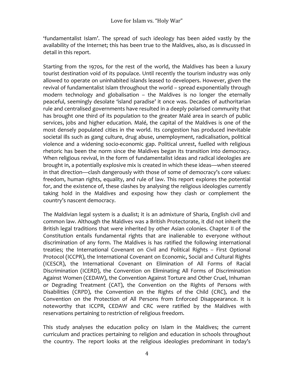'fundamentalist Islam'. The spread of such ideology has been aided vastly by the availability of the Internet; this has been true to the Maldives, also, as is discussed in detail in this report.

Starting from the 1970s, for the rest of the world, the Maldives has been a luxury tourist destination void of its populace. Until recently the tourism industry was only allowed to operate on uninhabited islands leased to developers. However, given the revival of fundamentalist Islam throughout the world – spread exponentially through modern technology and globalisation  $-$  the Maldives is no longer the eternally peaceful, seemingly desolate 'island paradise' it once was. Decades of authoritarian rule and centralised governments have resulted in a deeply polarised community that has brought one third of its population to the greater Malé area in search of public services, jobs and higher education. Malé, the capital of the Maldives is one of the most densely populated cities in the world. Its congestion has produced inevitable societal ills such as gang culture, drug abuse, unemployment, radicalisation, political violence and a widening socio-economic gap. Political unrest, fuelled with religious rhetoric has been the norm since the Maldives began its transition into democracy. When religious revival, in the form of fundamentalist ideas and radical ideologies are brought in, a potentially explosive mix is created in which these ideas—when steered in that direction—clash dangerously with those of some of democracy's core values: freedom, human rights, equality, and rule of law. This report explores the potential for, and the existence of, these clashes by analysing the religious ideologies currently taking hold in the Maldives and exposing how they clash or complement the country's nascent democracy.

The Maldivian legal system is a dualist; it is an admixture of Sharia, English civil and common law. Although the Maldives was a British Protectorate, it did not inherit the British legal traditions that were inherited by other Asian colonies. Chapter II of the Constitution entails fundamental rights that are inalienable to everyone without discrimination of any form. The Maldives is has ratified the following international treaties; the International Covenant on Civil and Political Rights - First Optional Protocol (ICCPR), the International Covenant on Economic, Social and Cultural Rights (ICESCR), the International Covenant on Elimination of All Forms of Racial Discrimination (ICERD), the Convention on Eliminating All Forms of Discrimination Against Women (CEDAW), the Convention Against Torture and Other Cruel, Inhuman or Degrading Treatment (CAT), the Convention on the Rights of Persons with Disabilities (CRPD), the Convention on the Rights of the Child (CRC), and the Convention on the Protection of All Persons from Enforced Disappearance. It is noteworthy that ICCPR, CEDAW and CRC were ratified by the Maldives with reservations pertaining to restriction of religious freedom.

This study analyses the education policy on Islam in the Maldives; the current curriculum and practices pertaining to religion and education in schools throughout the country. The report looks at the religious ideologies predominant in today's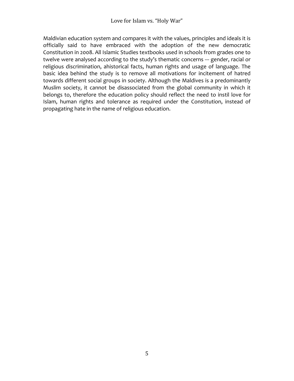Maldivian education system and compares it with the values, principles and ideals it is officially said to have embraced with the adoption of the new democratic Constitution in 2008. All Islamic Studies textbooks used in schools from grades one to twelve were analysed according to the study's thematic concerns --- gender, racial or religious discrimination, ahistorical facts, human rights and usage of language. The basic idea behind the study is to remove all motivations for incitement of hatred towards different social groups in society. Although the Maldives is a predominantly Muslim society, it cannot be disassociated from the global community in which it belongs to, therefore the education policy should reflect the need to instil love for Islam, human rights and tolerance as required under the Constitution, instead of propagating hate in the name of religious education.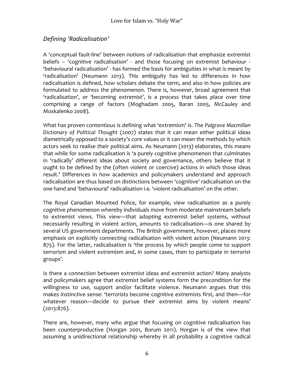# *Defining 'Radicalisation'*

A 'conceptual fault-line' between notions of radicalisation that emphasize extremist beliefs – 'cognitive radicalisation' - and those focusing on extremist behaviour -'behavioural radicalisation' - has formed the basis for ambiguities in what is meant by 'radicalisation' (Neumann 2013). This ambiguity has led to differences in how radicalisation is defined, how scholars debate the term, and also in how policies are formulated to address the phenomenon. There is, however, broad agreement that 'radicalisation', or 'becoming extremist', is a process that takes place over time comprising a range of factors (Moghadam 2005, Baran 2005, McCauley and Moskalenko 2008).

What has proven contentious is defining what 'extremism' is. The *Palgrave Macmillan* Dictionary of Political Thought (2007) states that it can mean either political ideas diametrically opposed to a society's core values or it can mean the methods by which actors seek to realise their political aims. As Neumann (2013) elaborates, this means that while for some radicalisation is 'a purely cognitive phenomenon that culminates in 'radically' different ideas about society and governance, others believe that it ought to be defined by the (often violent or coercive) actions in which those ideas result.' Differences in how academics and policymakers understand and approach radicalisation are thus based on distinctions between 'cognitive' radicalisation on the one hand and 'behavioural' radicalisation i.e. 'violent radicalisation' on the other.

The Royal Canadian Mounted Police, for example, view radicalisation as a purely cognitive phenomenon whereby individuals move from moderate mainstream beliefs to extremist views. This view—that adopting extremist belief systems, without necessarily resulting in violent action, amounts to radicalisation—is one shared by several US government departments. The British government, however, places more emphasis on explicitly connecting radicalisation with violent action (Neumann 2013: 875). For the latter, radicalisation is 'the process by which people come to support terrorism and violent extremism and, in some cases, then to participate in terrorist groups'. 

Is there a connection between extremist ideas and extremist action? Many analysts and policymakers agree that extremist belief systems form the precondition for the willingness to use, support and/or facilitate violence. Neumann argues that this makes instinctive sense: 'terrorists become cognitive extremists first, and then-for whatever reason—decide to pursue their extremist aims by violent means' (2013:876). 

There are, however, many who argue that focusing on cognitive radicalisation has been counterproductive (Horgan 2001, Borum 2011). Horgan is of the view that assuming a unidirectional relationship whereby in all probability a cognitive radical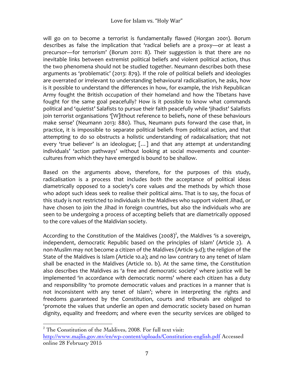will go on to become a terrorist is fundamentally flawed (Horgan 2001). Borum describes as false the implication that 'radical beliefs are a proxy-or at least a precursor—for terrorism' (Borum 2011: 8). Their suggestion is that there are no inevitable links between extremist political beliefs and violent political action, thus the two phenomena should not be studied together. Neumann describes both these arguments as 'problematic' (2013: 879). If the role of political beliefs and ideologies are overrated or irrelevant to understanding behavioural radicalisation, he asks, how is it possible to understand the differences in how, for example, the Irish Republican Army fought the British occupation of their homeland and how the Tibetans have fought for the same goal peacefully? How is it possible to know what commands political and 'quietist' Salafists to pursue their faith peacefully while 'jihadist' Salafists join terrorist organisations '[W]ithout reference to beliefs, none of these behaviours make sense' (Neumann 2013: 880). Thus, Neumann puts forward the case that, in practice, it is impossible to separate political beliefs from political action, and that attempting to do so obstructs a holistic understanding of radaicalisation; that not every 'true believer' is an ideologue;  $[...]$  and that any attempt at understanding individuals' 'action pathways' without looking at social movements and countercultures from which they have emerged is bound to be shallow.

Based on the arguments above, therefore, for the purposes of this study, radicalisation is a process that includes both the acceptance of political ideas diametrically opposed to a society's core values and the methods by which those who adopt such ideas seek to realise their political aims. That is to say, the focus of this study is not restricted to individuals in the Maldives who support violent Jihad, or have chosen to join the Jihad in foreign countries, but also the individuals who are seen to be undergoing a process of accepting beliefs that are diametrically opposed to the core values of the Maldivian society.

According to the Constitution of the Maldives  $(2008)^2$ , the Maldives 'is a sovereign, independent, democratic Republic based on the principles of Islam' (Article 2). A non-Muslim may not become a citizen of the Maldives (Article 9.d); the religion of the State of the Maldives is Islam (Article 10.a); and no law contrary to any tenet of Islam shall be enacted in the Maldives (Article 10. b). At the same time, the Constitution also describes the Maldives as 'a free and democratic society' where justice will be implemented 'in accordance with democratic norms' where each citizen has a duty and responsibility 'to promote democratic values and practices in a manner that is not inconsistent with any tenet of Islam'; where in interpreting the rights and freedoms guaranteed by the Constitution, courts and tribunals are obliged to 'promote the values that underlie an open and democratic society based on human dignity, equality and freedom; and where even the security services are obliged to

<sup>&</sup>lt;sup>2</sup> The Constitution of the Maldives, 2008. For full text visit: http://www.majlis.gov.mv/en/wp-content/uploads/Constitution-english.pdf Accessed online 28 February 2015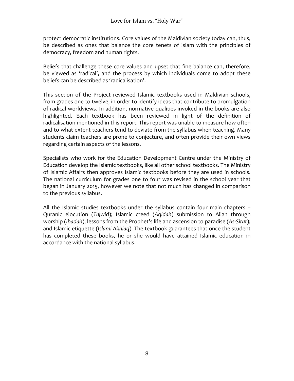protect democratic institutions. Core values of the Maldivian society today can, thus, be described as ones that balance the core tenets of Islam with the principles of democracy, freedom and human rights.

Beliefs that challenge these core values and upset that fine balance can, therefore, be viewed as 'radical', and the process by which individuals come to adopt these beliefs can be described as 'radicalisation'.

This section of the Project reviewed Islamic textbooks used in Maldivian schools, from grades one to twelve, in order to identify ideas that contribute to promulgation of radical worldviews. In addition, normative qualities invoked in the books are also highlighted. Each textbook has been reviewed in light of the definition of radicalisation mentioned in this report. This report was unable to measure how often and to what extent teachers tend to deviate from the syllabus when teaching. Many students claim teachers are prone to conjecture, and often provide their own views regarding certain aspects of the lessons.

Specialists who work for the Education Development Centre under the Ministry of Education develop the Islamic textbooks, like all other school textbooks. The Ministry of Islamic Affairs then approves Islamic textbooks before they are used in schools. The national curriculum for grades one to four was revised in the school year that began in January 2015, however we note that not much has changed in comparison to the previous syllabus.

All the Islamic studies textbooks under the syllabus contain four main chapters  $-$ Quranic elocution (*Tajwid*); Islamic creed (*Aqidah*) submission to Allah through worship (*Ibadah*); lessons from the Prophet's life and ascension to paradise (As-Sirat); and Islamic etiquette (*Islami Akhlaq*). The textbook guarantees that once the student has completed these books, he or she would have attained Islamic education in accordance with the national syllabus.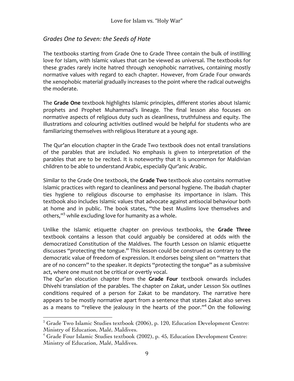### *Grades One to Seven: the Seeds of Hate*

The textbooks starting from Grade One to Grade Three contain the bulk of instilling love for Islam, with Islamic values that can be viewed as universal. The textbooks for these grades rarely incite hatred through xenophobic narratives, containing mostly normative values with regard to each chapter. However, from Grade Four onwards the xenophobic material gradually increases to the point where the radical outweighs the moderate.

The Grade One textbook highlights Islamic principles, different stories about Islamic prophets and Prophet Muhammad's lineage. The final lesson also focuses on normative aspects of religious duty such as cleanliness, truthfulness and equity. The illustrations and colouring activities outlined would be helpful for students who are familiarizing themselves with religious literature at a young age.

The Qur'an elocution chapter in the Grade Two textbook does not entail translations of the parables that are included. No emphasis is given to interpretation of the parables that are to be recited. It is noteworthy that it is uncommon for Maldivian children to be able to understand Arabic, especially Qur'anic Arabic.

Similar to the Grade One textbook, the Grade Two textbook also contains normative Islamic practices with regard to cleanliness and personal hygiene. The Ibadah chapter ties hygiene to religious discourse to emphasise its importance in Islam. This textbook also includes Islamic values that advocate against antisocial behaviour both at home and in public. The book states, "the best Muslims love themselves and others,"<sup>3</sup> while excluding love for humanity as a whole.

Unlike the Islamic etiquette chapter on previous textbooks, the **Grade Three** textbook contains a lesson that could arguably be considered at odds with the democratized Constitution of the Maldives. The fourth Lesson on Islamic etiquette discusses "protecting the tongue." This lesson could be construed as contrary to the democratic value of freedom of expression. It endorses being silent on "matters that are of no concern" to the speaker. It depicts "protecting the tongue" as a submissive act, where one must not be critical or overtly vocal.

The Qur'an elocution chapter from the Grade Four textbook onwards includes Dhivehi translation of the parables. The chapter on Zakat, under Lesson Six outlines conditions required of a person for Zakat to be mandatory. The narrative here appears to be mostly normative apart from a sentence that states Zakat also serves as a means to "relieve the jealousy in the hearts of the poor."<sup>4</sup> On the following

 $3$  Grade Two Islamic Studies textbook (2006), p. 120, Education Development Centre: Ministry of Education, Malé, Maldives.

 $4$  Grade Four Islamic Studies textbook (2002), p. 45, Education Development Centre: Ministry of Education, Malé, Maldives.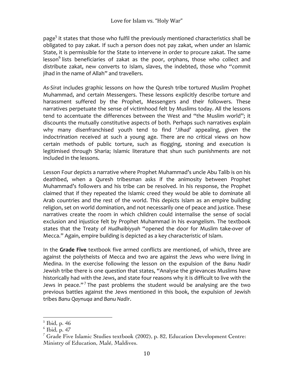page<sup>5</sup> it states that those who fulfil the previously mentioned characteristics shall be obligated to pay zakat. If such a person does not pay zakat, when under an Islamic State, it is permissible for the State to intervene in order to procure zakat. The same  $\epsilon$  lesson<sup>6</sup> lists beneficiaries of zakat as the poor, orphans, those who collect and distribute zakat, new converts to Islam, slaves, the indebted, those who "commit jihad in the name of Allah" and travellers.

As-Sirat includes graphic lessons on how the Quresh tribe tortured Muslim Prophet Muhammad, and certain Messengers. These lessons explicitly describe torture and harassment suffered by the Prophet, Messengers and their followers. These narratives perpetuate the sense of victimhood felt by Muslims today. All the lessons tend to accentuate the differences between the West and "the Muslim world"; it discounts the mutually constitutive aspects of both. Perhaps such narratives explain why many disenfranchised youth tend to find 'Jihad' appealing, given the indoctrination received at such a young age. There are no critical views on how certain methods of public torture, such as flogging, stoning and execution is legitimised through Sharia; Islamic literature that shun such punishments are not included in the lessons.

Lesson Four depicts a narrative where Prophet Muhammad's uncle Abu Talib is on his deathbed, when a Quresh tribesman asks if the animosity between Prophet Muhammad's followers and his tribe can be resolved. In his response, the Prophet claimed that if they repeated the Islamic creed they would be able to dominate all Arab countries and the rest of the world. This depicts Islam as an empire building religion, set on world domination, and not necessarily one of peace and justice. These narratives create the room in which children could internalise the sense of social exclusion and injustice felt by Prophet Muhammad in his evangelism. The textbook states that the Treaty of Hudhaibiyyah "opened the door for Muslim take-over of Mecca." Again, empire building is depicted as a key characteristic of Islam.

In the **Grade Five** textbook five armed conflicts are mentioned, of which, three are against the polytheists of Mecca and two are against the Jews who were living in Medina. In the exercise following the lesson on the expulsion of the Banu Nadir Jewish tribe there is one question that states, "Analyse the grievances Muslims have historically had with the Jews, and state four reasons why it is difficult to live with the Jews in peace."<sup>7</sup> The past problems the student would be analysing are the two previous battles against the Jews mentioned in this book, the expulsion of Jewish tribes *Banu Qaynuqa* and *Banu Nadir*. 

  $<sup>5</sup>$  Ibid, p. 46</sup>

 $6$  Ibid, p. 47

<sup>&</sup>lt;sup>7</sup> Grade Five Islamic Studies textbook (2002), p. 82, Education Development Centre: Ministry of Education, Malé, Maldives.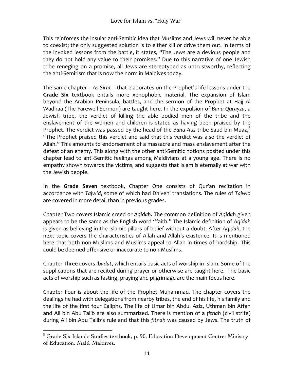This reinforces the insular anti-Semitic idea that Muslims and Jews will never be able to coexist; the only suggested solution is to either kill or drive them out. In terms of the invoked lessons from the battle, it states, "The Jews are a devious people and they do not hold any value to their promises." Due to this narrative of one Jewish tribe reneging on a promise, all Jews are stereotyped as untrustworthy, reflecting the anti-Semitism that is now the norm in Maldives today.

The same chapter – As-Sirat – that elaborates on the Prophet's life lessons under the **Grade Six** textbook entails more xenophobic material. The expansion of Islam beyond the Arabian Peninsula, battles, and the sermon of the Prophet at Hajj Al Wadhaa (The Farewell Sermon) are taught here. In the expulsion of Banu Qurayza, a Jewish tribe, the verdict of killing the able bodied men of the tribe and the enslavement of the women and children is stated as having been praised by the Prophet. The verdict was passed by the head of the *Banu Aus* tribe Saud bin Muaz,<sup>8</sup> "The Prophet praised this verdict and said that this verdict was also the verdict of Allah." This amounts to endorsement of a massacre and mass enslavement after the defeat of an enemy. This along with the other anti-Semitic notions posited under this chapter lead to anti-Semitic feelings among Maldivians at a young age. There is no empathy shown towards the victims, and suggests that Islam is eternally at war with the Jewish people.

In the **Grade Seven** textbook, Chapter One consists of Qur'an recitation in accordance with *Tajwid*, some of which had Dhivehi translations. The rules of *Tajwid* are covered in more detail than in previous grades.

Chapter Two covers Islamic creed or *Agidah*. The common definition of *Agidah* given appears to be the same as the English word "faith." The Islamic definition of Aqidah is given as believing in the Islamic pillars of belief without a doubt. After *Aqidah*, the next topic covers the characteristics of Allah and Allah's existence. It is mentioned here that both non-Muslims and Muslims appeal to Allah in times of hardship. This could be deemed offensive or inaccurate to non-Muslims.

Chapter Three covers *Ibadat*, which entails basic acts of worship in Islam. Some of the supplications that are recited during prayer or otherwise are taught here. The basic acts of worship such as fasting, praying and pilgrimage are the main focus here.

Chapter Four is about the life of the Prophet Muhammad. The chapter covers the dealings he had with delegations from nearby tribes, the end of his life, his family and the life of the first four Caliphs. The life of Umar bin Abdul Aziz, Uthman bin Affan and Ali bin Abu Talib are also summarized. There is mention of a fitnah (civil strife) during Ali bin Abu Talib's rule and that this *fitnah* was caused by Jews. The truth of

<sup>8</sup> Grade Six Islamic Studies textbook, p. 90, Education Development Centre: Ministry of Education, Malé, Maldives.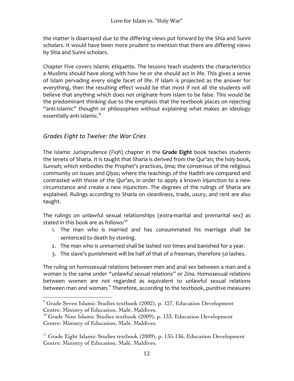the matter is disarrayed due to the differing views put forward by the Shia and Sunni scholars. It would have been more prudent to mention that there are differing views by Shia and Sunni scholars.

Chapter Five covers Islamic etiquette. The lessons teach students the characteristics a Muslims should have along with how he or she should act in life. This gives a sense of Islam pervading every single facet of life. If Islam is projected as the answer for everything, then the resulting effect would be that most if not all the students will believe that anything which does not originate from Islam to be false. This would be the predominant thinking due to the emphasis that the textbook places on rejecting "anti-Islamic" thought or philosophies without explaining what makes an ideology essentially anti-Islamic.<sup>9</sup>

## **Grades Eight to Twelve: the War Cries**

 

The Islamic Jurisprudence (*Figh*) chapter in the **Grade Eight** book teaches students the tenets of Sharia. It is taught that Sharia is derived from the Qur'an; the holy book, Sunnah; which embodies the Prophet's practices, *Ijma*; the consensus of the religious community on issues and Qiyas; where the teachings of the Hadith are compared and contrasted with those of the Qur'an, in order to apply a known injunction to a new circumstance and create a new injunction. The degrees of the rulings of Sharia are explained. Rulings according to Sharia on cleanliness, trade, usury, and rent are also taught.

The rulings on unlawful sexual relationships (extra-marital and premarital sex) as stated in this book are as follows: $10<sup>10</sup>$ 

- 1. The man who is married and has consummated his marriage shall be sentenced to death by stoning.
- 2. The man who is unmarried shall be lashed 100 times and banished for a year.
- 3. The slave's punishment will be half of that of a freeman, therefore 50 lashes.

The ruling on homosexual relations between men and anal sex between a man and a woman is the same under "unlawful sexual relations" or *Zina*. Homosexual relations between women are not regarded as equivalent to unlawful sexual relations between man and woman.<sup>11</sup> Therefore, according to the textbook, punitive measures

 $9^9$  Grade Seven Islamic Studies textbook (2002), p. 127, Education Development Centre: Ministry of Education, Malé, Maldives.

 $10$  Grade Nine Islamic Studies textbook (2009), p. 133, Education Development Centre: Ministry of Education, Malé, Maldives.

 $11$  Grade Eight Islamic Studies textbook (2009), p. 135-136, Education Development Centre: Ministry of Education, Malé, Maldives.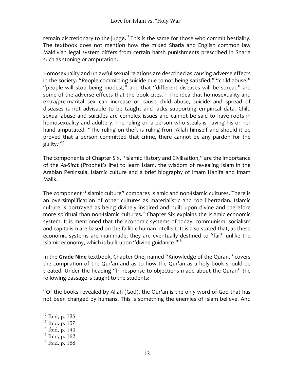remain discretionary to the judge.<sup>12</sup> This is the same for those who commit bestiality. The textbook does not mention how the mixed Sharia and English common law Maldivian legal system differs from certain harsh punishments prescribed in Sharia such as stoning or amputation.

Homosexuality and unlawful sexual relations are described as causing adverse effects in the society. "People committing suicide due to not being satisfied," "child abuse," "people will stop being modest," and that "different diseases will be spread" are some of the adverse effects that the book cites.<sup>13</sup> The idea that homosexuality and extra/pre-marital sex can increase or cause child abuse, suicide and spread of diseases is not advisable to be taught and lacks supporting empirical data. Child sexual abuse and suicides are complex issues and cannot be said to have roots in homosexuality and adultery. The ruling on a person who steals is having his or her hand amputated. "The ruling on theft is ruling from Allah himself and should it be proved that a person committed that crime, there cannot be any pardon for the guilty."<sup>14</sup>

The components of Chapter Six, "Islamic History and Civilisation," are the importance of the As-Sirat (Prophet's life) to learn Islam, the wisdom of revealing Islam in the Arabian Peninsula, Islamic culture and a brief biography of Imam Hanifa and Imam Malik. 

The component "Islamic culture" compares Islamic and non-Islamic cultures. There is an oversimplification of other cultures as materialistic and too libertarian. Islamic culture is portrayed as being divinely inspired and built upon divine and therefore more spiritual than non-Islamic cultures.<sup>15</sup> Chapter Six explains the Islamic economic system. It is mentioned that the economic systems of today, communism, socialism and capitalism are based on the fallible human intellect. It is also stated that, as these economic systems are man-made, they are eventually destined to "fail" unlike the Islamic economy, which is built upon "divine guidance."<sup>16</sup>

In the Grade Nine textbook, Chapter One, named "Knowledge of the Quran," covers the compilation of the Qur'an and as to how the Qur'an as a holy book should be treated. Under the heading "In response to objections made about the Quran" the following passage is taught to the students:

"Of the books revealed by Allah (God), the Qur'an is the only word of God that has not been changed by humans. This is something the enemies of Islam believe. And

 $12$  Ibid, p. 135

 $13$  Ibid, p. 137

 $14$  Ibid, p. 140

 $15$  Ibid, p. 162

 $16$  Ibid, p. 188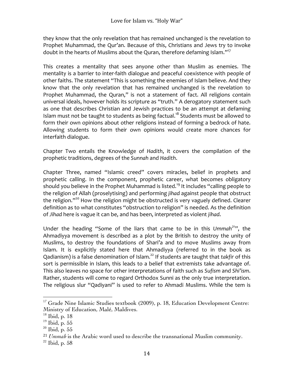they know that the only revelation that has remained unchanged is the revelation to Prophet Muhammad, the Our'an. Because of this, Christians and Jews try to invoke doubt in the hearts of Muslims about the Quran, therefore defaming Islam."<sup>17</sup>

This creates a mentality that sees anyone other than Muslim as enemies. The mentality is a barrier to inter-faith dialogue and peaceful coexistence with people of other faiths. The statement "This is something the enemies of Islam believe. And they know that the only revelation that has remained unchanged is the revelation to Prophet Muhammad, the Quran," is not a statement of fact. All religions contain universal ideals, however holds its scripture as "truth." A derogatory statement such as one that describes Christian and Jewish practices to be an attempt at defaming Islam must not be taught to students as being factual.<sup>18</sup> Students must be allowed to form their own opinions about other religions instead of forming a bedrock of hate. Allowing students to form their own opinions would create more chances for interfaith dialogue.

Chapter Two entails the Knowledge of *Hadith*, it covers the compilation of the prophetic traditions, degrees of the *Sunnah* and *Hadith*. 

Chapter Three, named "Islamic creed" covers miracles, belief in prophets and prophetic calling. In the component, prophetic career, what becomes obligatory should you believe in the Prophet Muhammad is listed.<sup>19</sup> It includes "calling people to the religion of Allah (proselytising) and performing *jihad* against people that obstruct the religion."<sup>20</sup> How the religion might be obstructed is very vaguely defined. Clearer definition as to what constitutes "obstruction to religion" is needed. As the definition of *Jihad* here is vague it can be, and has been, interpreted as violent *jihad*.

Under the heading "Some of the liars that came to be in this Ummah<sup>21</sup>", the Ahmadiyya movement is described as a plot by the British to destroy the unity of Muslims, to destroy the foundations of Shari'a and to move Muslims away from Islam. It is explicitly stated here that Ahmadiyya (referred to in the book as Qadianism) is a false denomination of Islam.<sup>22</sup> If students are taught that takfir of this sort is permissible in Islam, this leads to a belief that extremists take advantage of. This also leaves no space for other interpretations of faith such as Sufism and Shi'ism. Rather, students will come to regard Orthodox Sunni as the only true interpretation. The religious slur "Qadiyani" is used to refer to Ahmadi Muslims. While the tem is

 $17$  Grade Nine Islamic Studies textbook (2009), p. 18, Education Development Centre: Ministry of Education, Malé, Maldives.

 $18$  Ibid, p. 18

<sup>19</sup> Ibid, p. 55

<sup>20</sup> Ibid, p. 55

<sup>21</sup> *Ummah* is the Arabic word used to describe the transnational Muslim community.

 $22$  Ibid, p. 58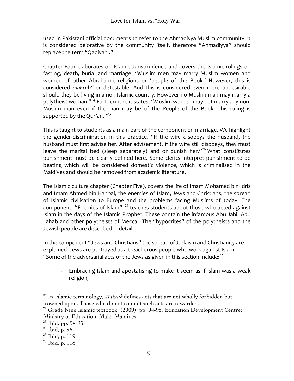used in Pakistani official documents to refer to the Ahmadiyya Muslim community, it is considered pejorative by the community itself, therefore "Ahmadiyya" should replace the term "Qadivani."

Chapter Four elaborates on Islamic Jurisprudence and covers the Islamic rulings on fasting, death, burial and marriage. "Muslim men may marry Muslim women and women of other Abrahamic religions or 'people of the Book.' However, this is considered *makruh<sup>23</sup>* or detestable. And this is considered even more undesirable should they be living in a non-Islamic country. However no Muslim man may marry a polytheist woman." $^{24}$  Furthermore it states, "Muslim women may not marry any non-Muslim man even if the man may be of the People of the Book. This ruling is supported by the Qur'an." $^{25}$ 

This is taught to students as a main part of the component on marriage. We highlight the gender-discrimination in this practice. "If the wife disobeys the husband, the husband must first advise her. After advisement, if the wife still disobeys, they must leave the marital bed (sleep separately) and or punish her."<sup>26</sup> What constitutes punishment must be clearly defined here. Some clerics interpret punishment to be beating which will be considered domestic violence, which is criminalised in the Maldives and should be removed from academic literature.

The Islamic culture chapter (Chapter Five), covers the life of Imam Mohamed bin Idris and Imam Ahmed bin Hanbal, the enemies of Islam, Jews and Christians, the spread of Islamic civilisation to Europe and the problems facing Muslims of today. The component, "Enemies of Islam", <sup>27</sup> teaches students about those who acted against Islam in the days of the Islamic Prophet. These contain the infamous Abu Jahl, Abu Lahab and other polytheists of Mecca. The "hypocrites" of the polytheists and the Jewish people are described in detail.

In the component "Jews and Christians" the spread of Judaism and Christianity are explained. Jews are portrayed as a treacherous people who work against Islam. "Some of the adversarial acts of the Jews as given in this section include:<sup>28</sup>

- Embracing Islam and apostatising to make it seem as if Islam was a weak religion;

 <sup>23</sup> In Islamic terminology, *Makruh* defines acts that are not wholly forbidden but frowned upon. Those who do not commit such acts are rewarded.

<sup>&</sup>lt;sup>24</sup> Grade Nine Islamic textbook, (2009), pp. 94-95, Education Development Centre: Ministry of Education, Malé, Maldives.

 $25$  Ibid, pp. 94-95

 $26$  Ibid, p. 96

 $27$  Ibid, p. 119

 $^{28}$  Ibid, p. 118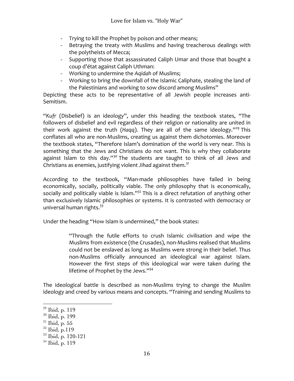- Trying to kill the Prophet by poison and other means;
- Betraying the treaty with Muslims and having treacherous dealings with the polytheists of Mecca;
- Supporting those that assassinated Caliph Umar and those that bought a coup d'état against Caliph Uthman:
- Working to undermine the *Agidah* of Muslims;
- Working to bring the downfall of the Islamic Caliphate, stealing the land of the Palestinians and working to sow discord among Muslims"

Depicting these acts to be representative of all Jewish people increases anti-Semitism. 

"Kufr (Disbelief) is an ideology", under this heading the textbook states, "The followers of disbelief and evil regardless of their religion or nationality are united in their work against the truth (*Haqq*). They are all of the same ideology."<sup>29</sup> This conflates all who are non-Muslims, creating us against them dichotomies. Moreover the textbook states, "Therefore Islam's domination of the world is very near. This is something that the Jews and Christians do not want. This is why they collaborate against Islam to this day."<sup>30</sup> The students are taught to think of all Jews and Christians as enemies, justifying violent *Jihad* against them.<sup>31</sup>

According to the textbook, "Man-made philosophies have failed in being economically, socially, politically viable. The only philosophy that is economically, socially and politically viable is Islam." $32$  This is a direct refutation of anything other than exclusively Islamic philosophies or systems. It is contrasted with democracy or universal human rights.<sup>33</sup>

Under the heading "How Islam is undermined," the book states:

"Through the futile efforts to crush Islamic civilisation and wipe the Muslims from existence (the Crusades), non-Muslims realised that Muslims could not be enslaved as long as Muslims were strong in their belief. Thus non-Muslims officially announced an ideological war against Islam. However the first steps of this ideological war were taken during the lifetime of Prophet by the Jews." $34$ 

The ideological battle is described as non-Muslims trying to change the Muslim ideology and creed by various means and concepts. "Training and sending Muslims to

- $30$  Ibid, p. 199
- $31$  Ibid, p. 55
- $32$  Ibid, p.119

 $29$  Ibid, p. 119

 $33$  Ibid, p. 120-121

 $34$  Ibid, p. 119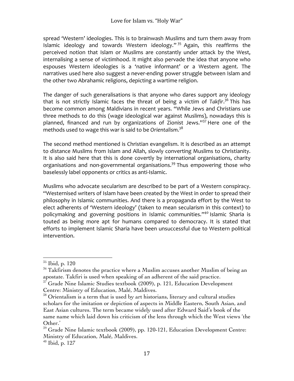spread 'Western' ideologies. This is to brainwash Muslims and turn them away from Islamic ideology and towards Western ideology."  $35$  Again, this reaffirms the perceived notion that Islam or Muslims are constantly under attack by the West, internalising a sense of victimhood. It might also pervade the idea that anyone who espouses Western ideologies is a 'native informant' or a Western agent. The narratives used here also suggest a never-ending power struggle between Islam and the other two Abrahamic religions, depicting a wartime religion.

The danger of such generalisations is that anyone who dares support any ideology that is not strictly Islamic faces the threat of being a victim of *Takfir*.<sup>36</sup> This has become common among Maldivians in recent years. "While Jews and Christians use three methods to do this (wage ideological war against Muslims), nowadays this is planned, financed and run by organizations of Zionist Jews." $37$  Here one of the methods used to wage this war is said to be *Orientalism.*<sup>38</sup>

The second method mentioned is Christian evangelism. It is described as an attempt to distance Muslims from Islam and Allah, slowly converting Muslims to Christianity. It is also said here that this is done covertly by international organisations, charity organisations and non-governmental organisations.<sup>39</sup> Thus empowering those who baselessly label opponents or critics as anti-Islamic.

Muslims who advocate secularism are described to be part of a Western conspiracy. "Westernised writers of Islam have been created by the West in order to spread their philosophy in Islamic communities. And there is a propaganda effort by the West to elect adherents of 'Western ideology' (taken to mean secularism in this context) to policymaking and governing positions in Islamic communities."<sup>40</sup> Islamic Sharia is touted as being more apt for humans compared to democracy. It is stated that efforts to implement Islamic Sharia have been unsuccessful due to Western political intervention.

 $35$  Ibid, p. 120

<sup>&</sup>lt;sup>36</sup> Takfirism denotes the practice where a Muslim accuses another Muslim of being an apostate. Takfiri is used when speaking of an adherent of the said practice.

 $37$  Grade Nine Islamic Studies textbook (2009), p. 121, Education Development Centre: Ministry of Education, Malé, Maldives.

 $38$  Orientalism is a term that is used by art historians, literary and cultural studies scholars for the imitation or depiction of aspects in Middle Eastern, South Asian, and East Asian cultures. The term became widely used after Edward Said's book of the same name which laid down his criticism of the lens through which the West views 'the Other.'

 $39$  Grade Nine Islamic textbook (2009), pp. 120-121, Education Development Centre: Ministry of Education, Malé, Maldives.

 $40$  Ibid, p. 127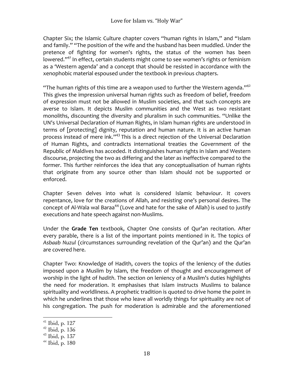Chapter Six; the Islamic Culture chapter covers "human rights in Islam," and "Islam and family." "The position of the wife and the husband has been muddled. Under the pretence of fighting for women's rights, the status of the women has been lowered."<sup>41</sup> In effect, certain students might come to see women's rights or feminism as a 'Western agenda' and a concept that should be resisted in accordance with the xenophobic material espoused under the textbook in previous chapters.

"The human rights of this time are a weapon used to further the Western agenda."<sup>42</sup> This gives the impression universal human rights such as freedom of belief, freedom of expression must not be allowed in Muslim societies, and that such concepts are averse to Islam. It depicts Muslim communities and the West as two resistant monoliths, discounting the diversity and pluralism in such communities. "Unlike the UN's Universal Declaration of Human Rights, in Islam human rights are understood in terms of [protecting] dignity, reputation and human nature. It is an active human process instead of mere ink."<sup>43</sup> This is a direct rejection of the Universal Declaration of Human Rights, and contradicts international treaties the Government of the Republic of Maldives has acceded. It distinguishes human rights in Islam and Western discourse, projecting the two as differing and the later as ineffective compared to the former. This further reinforces the idea that any conceptualisation of human rights that originate from any source other than Islam should not be supported or enforced. 

Chapter Seven delves into what is considered Islamic behaviour. It covers repentance, love for the creations of Allah, and resisting one's personal desires. The concept of Al-Wala wal Baraa<sup>44</sup> (Love and hate for the sake of Allah) is used to justify executions and hate speech against non-Muslims.

Under the Grade Ten textbook, Chapter One consists of Qur'an recitation. After every parable, there is a list of the important points mentioned in it. The topics of Asbaab Nuzul (circumstances surrounding revelation of the Qur'an) and the Qur'an are covered here.

Chapter Two: Knowledge of Hadith, covers the topics of the leniency of the duties imposed upon a Muslim by Islam, the freedom of thought and encouragement of worship in the light of *hadith*. The section on leniency of a Muslim's duties highlights the need for moderation. It emphasises that Islam instructs Muslims to balance spirituality and worldliness. A prophetic tradition is quoted to drive home the point in which he underlines that those who leave all worldly things for spirituality are not of his congregation. The push for moderation is admirable and the aforementioned

 $41$  Ibid, p. 127

 $42$  Ibid, p. 136

 $43$  Ibid, p. 137

 $44$  Ibid, p. 180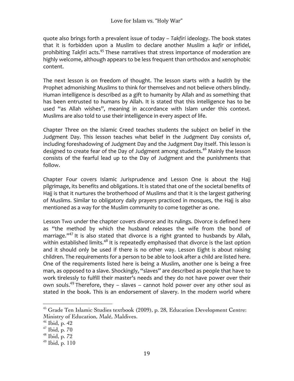quote also brings forth a prevalent issue of today – *Takfiri* ideology. The book states that it is forbidden upon a Muslim to declare another Muslim a *kafir* or infidel, prohibiting Takfiri acts.<sup>45</sup> These narratives that stress importance of moderation are highly welcome, although appears to be less frequent than orthodox and xenophobic content. 

The next lesson is on freedom of thought. The lesson starts with a *hadith* by the Prophet admonishing Muslims to think for themselves and not believe others blindly. Human intelligence is described as a gift to humanity by Allah and as something that has been entrusted to humans by Allah. It is stated that this intelligence has to be used "as Allah wishes", meaning in accordance with Islam under this context. Muslims are also told to use their intelligence in every aspect of life.

Chapter Three on the Islamic Creed teaches students the subject on belief in the Judgment Day. This lesson teaches what belief in the Judgment Day consists of, including foreshadowing of Judgment Day and the Judgment Day itself. This lesson is designed to create fear of the Day of Judgment among students.<sup>46</sup> Mainly the lesson consists of the fearful lead up to the Day of Judgment and the punishments that follow. 

Chapter Four covers Islamic Jurisprudence and Lesson One is about the Hajj pilgrimage, its benefits and obligations. It is stated that one of the societal benefits of Hajj is that it nurtures the brotherhood of Muslims and that it is the largest gathering of Muslims. Similar to obligatory daily prayers practiced in mosques, the Hajj is also mentioned as a way for the Muslim community to come together as one.

Lesson Two under the chapter covers divorce and its rulings. Divorce is defined here as "the method by which the husband releases the wife from the bond of marriage." $47$  It is also stated that divorce is a right granted to husbands by Allah, within established limits.<sup>48</sup> It is repeatedly emphasised that divorce is the last option and it should only be used if there is no other way. Lesson Eight is about raising children. The requirements for a person to be able to look after a child are listed here. One of the requirements listed here is being a Muslim, another one is being a free man, as opposed to a slave. Shockingly, "slaves" are described as people that have to work tirelessly to fulfill their master's needs and they do not have power over their own souls.<sup>49</sup> Therefore, they – slaves – cannot hold power over any other soul as stated in the book. This is an endorsement of slavery. In the modern world where

<sup>45</sup> Grade Ten Islamic Studies textbook (2009), p. 28, Education Development Centre: Ministry of Education, Malé, Maldives.

 $46$  Ibid, p. 42

 $47$  Ibid, p.  $70$ 

 $48$  Ibid, p.  $72$ 

 $^{49}$  Ibid, p. 110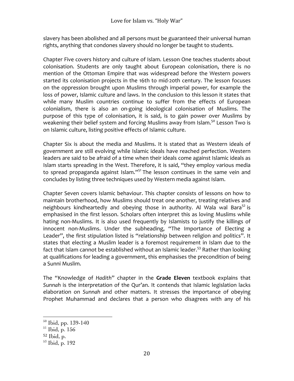slavery has been abolished and all persons must be guaranteed their universal human rights, anything that condones slavery should no longer be taught to students.

Chapter Five covers history and culture of Islam. Lesson One teaches students about colonisation. Students are only taught about European colonisation, there is no mention of the Ottoman Empire that was widespread before the Western powers started its colonisation projects in the 16th to mid-20th century. The lesson focuses on the oppression brought upon Muslims through imperial power, for example the loss of power, Islamic culture and laws. In the conclusion to this lesson it states that while many Muslim countries continue to suffer from the effects of European colonialism, there is also an on-going ideological colonisation of Muslims. The purpose of this type of colonisation, it is said, is to gain power over Muslims by weakening their belief system and forcing Muslims away from Islam.<sup>50</sup> Lesson Two is on Islamic culture, listing positive effects of Islamic culture.

Chapter Six is about the media and Muslims. It is stated that as Western ideals of government are still evolving while Islamic ideals have reached perfection. Western leaders are said to be afraid of a time when their ideals come against Islamic ideals as Islam starts spreading in the West. Therefore, it is said, "they employ various media to spread propaganda against Islam."<sup>51</sup> The lesson continues in the same vein and concludes by listing three techniques used by Western media against Islam.

Chapter Seven covers Islamic behaviour. This chapter consists of lessons on how to maintain brotherhood, how Muslims should treat one another, treating relatives and neighbours kindheartedly and obeying those in authority. Al Wala wal Bara<sup>52</sup> is emphasised in the first lesson. Scholars often interpret this as loving Muslims while hating non-Muslims. It is also used frequently by Islamists to justify the killings of innocent non-Muslims. Under the subheading, "The Importance of Electing a Leader", the first stipulation listed is "relationship between religion and politics". It states that electing a Muslim leader is a foremost requirement in Islam due to the fact that Islam cannot be established without an Islamic leader.<sup>53</sup> Rather than looking at qualifications for leading a government, this emphasises the precondition of being a Sunni Muslim.

The "Knowledge of *Hadith*" chapter in the Grade Eleven textbook explains that Sunnah is the interpretation of the Qur'an. It contends that Islamic legislation lacks elaboration on Sunnah and other matters. It stresses the importance of obeying Prophet Muhammad and declares that a person who disagrees with any of his

<sup>50</sup> Ibid, pp. 139-140

<sup>51</sup> Ibid, p. 156

<sup>52</sup> Ibid, p.

<sup>53</sup> Ibid, p. 192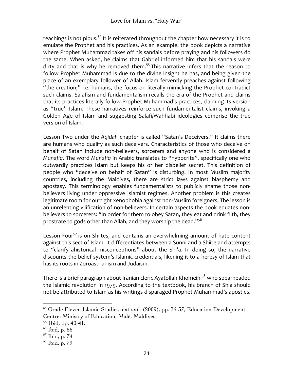teachings is not pious.<sup>54</sup> It is reiterated throughout the chapter how necessary it is to emulate the Prophet and his practices. As an example, the book depicts a narrative where Prophet Muhammad takes off his sandals before praying and his followers do the same. When asked, he claims that Gabriel informed him that his sandals were dirty and that is why he removed them.<sup>55</sup> This narrative infers that the reason to follow Prophet Muhammad is due to the divine insight he has, and being given the place of an exemplary follower of Allah. Islam fervently preaches against following "the creation;" i.e. humans, the focus on literally mimicking the Prophet contradict such claims. Salafism and fundamentalism recalls the era of the Prophet and claims that its practices literally follow Prophet Muhammad's practices, claiming its version as "true" Islam. These narratives reinforce such fundamentalist claims, invoking a Golden Age of Islam and suggesting Salafi/Wahhabi ideologies comprise the true version of Islam.

Lesson Two under the Aqidah chapter is called "Satan's Deceivers." It claims there are humans who qualify as such deceivers. Characteristics of those who deceive on behalf of Satan include non-believers, sorcerers and anyone who is considered a *Munafig*. The word *Munafiq* in Arabic translates to "hypocrite", specifically one who outwardly practices Islam but keeps his or her disbelief secret. This definition of people who "deceive on behalf of Satan" is disturbing. In most Muslim majority countries, including the Maldives, there are strict laws against blasphemy and apostasy. This terminology enables fundamentalists to publicly shame those nonbelievers living under oppressive Islamist regimes. Another problem is this creates legitimate room for outright xenophobia against non-Muslim foreigners. The lesson is an unrelenting vilification of non-believers. In certain aspects the book equates nonbelievers to sorcerers: "In order for them to obey Satan, they eat and drink filth, they prostrate to gods other than Allah, and they worship the dead."<sup>56</sup>

Lesson Four<sup>57</sup> is on Shiites, and contains an overwhelming amount of hate content against this sect of Islam. It differentiates between a Sunni and a Shiite and attempts to "clarify ahistorical misconceptions" about the Shi'a. In doing so, the narrative discounts the belief system's Islamic credentials, likening it to a heresy of Islam that has its roots in Zoroastrianism and Judaism.

There is a brief paragraph about Iranian cleric Ayatollah Khomeini $5^8$  who spearheaded the Islamic revolution in 1979. According to the textbook, his branch of Shia should not be attributed to Islam as his writings disparaged Prophet Muhammad's apostles.

<sup>&</sup>lt;sup>54</sup> Grade Eleven Islamic Studies textbook (2009), pp. 36-37, Education Development Centre: Ministry of Education, Malé, Maldives.

<sup>55</sup> Ibid, pp. 40-41.

<sup>56</sup> Ibid, p. 66

 $57$  Ibid, p. 74

<sup>58</sup> Ibid, p. 79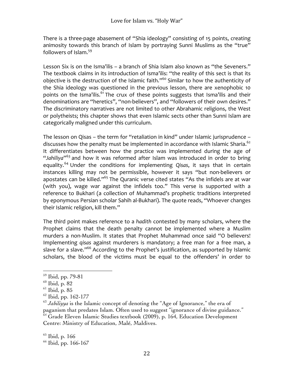There is a three-page abasement of "Shia ideology" consisting of 15 points, creating animosity towards this branch of Islam by portraying Sunni Muslims as the "true" followers of  $Islam.<sup>59</sup>$ 

Lesson Six is on the Isma'ilis – a branch of Shia Islam also known as "the Seveners." The textbook claims in its introduction of Isma'ilis: "the reality of this sect is that its objective is the destruction of the Islamic faith."<sup>60</sup> Similar to how the authenticity of the Shia ideology was questioned in the previous lesson, there are xenophobic 10 points on the Isma'ilis.<sup>61</sup> The crux of these points suggests that Isma'ilis and their denominations are "heretics", "non-believers", and "followers of their own desires." The discriminatory narratives are not limited to other Abrahamic religions, the West or polytheists; this chapter shows that even Islamic sects other than Sunni Islam are categorically maligned under this curriculum.

The lesson on Qisas – the term for "retaliation in kind" under Islamic jurisprudence – discusses how the penalty must be implemented in accordance with Islamic Sharia.<sup>62</sup> It differentiates between how the practice was implemented during the age of "Jahiliya"<sup>63</sup> and how it was reformed after Islam was introduced in order to bring equality.<sup>64</sup> Under the conditions for implementing *Qisas*, it says that in certain instances killing may not be permissible, however it says "but non-believers or apostates can be killed."<sup>65</sup> The Quranic verse cited states "As the infidels are at war (with you), wage war against the infidels too." This verse is supported with a reference to Bukhari (a collection of Muhammad's prophetic traditions interpreted by eponymous Persian scholar Sahih al-Bukhari). The quote reads, "Whoever changes their Islamic religion, kill them."

The third point makes reference to a hadith contested by many scholars, where the Prophet claims that the death penalty cannot be implemented where a Muslim murders a non-Muslim. It states that Prophet Muhammad once said "O believers! Implementing *qisas* against murderers is mandatory; a free man for a free man, a slave for a slave."<sup>66</sup> According to the Prophet's justification, as supported by Islamic scholars, the blood of the victims must be equal to the offenders' in order to

 

 $65$  Ibid, p. 166

<sup>59</sup> Ibid, pp. 79-81

 $60$  Ibid, p. 82

 $61$  Ibid, p. 85

 $62$  Ibid, pp. 162-177

 $63$  *Jahiliyya* is the Islamic concept of denoting the "Age of Ignorance," the era of paganism that predates Islam. Often used to suggest "ignorance of divine guidance." <sup>64</sup> Grade Eleven Islamic Studies textbook (2009), p. 164, Education Development Centre: Ministry of Education, Malé, Maldives.

<sup>&</sup>lt;sup>66</sup> Ibid, pp. 166-167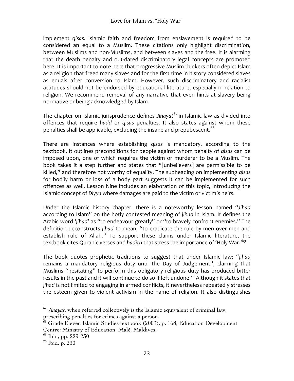implement *gisas*. Islamic faith and freedom from enslavement is required to be considered an equal to a Muslim. These citations only highlight discrimination, between Muslims and non-Muslims, and between slaves and the free. It is alarming that the death penalty and out-dated discriminatory legal concepts are promoted here. It is important to note here that progressive Muslim thinkers often depict Islam as a religion that freed many slaves and for the first time in history considered slaves as equals after conversion to Islam. However, such discriminatory and racialist attitudes should not be endorsed by educational literature, especially in relation to religion. We recommend removal of any narrative that even hints at slavery being normative or being acknowledged by Islam.

The chapter on Islamic jurisprudence defines *Jinayat*<sup>67</sup> in Islamic law as divided into offences that require *hadd* or *qisas* penalties. It also states against whom these penalties shall be applicable, excluding the insane and prepubescent. $^{68}$ 

There are instances where establishing *qisas* is mandatory, according to the textbook. It outlines preconditions for people against whom penalty of *gisas* can be imposed upon, one of which requires the victim or murderer to be a Muslim. The book takes it a step further and states that "[unbelievers] are permissible to be killed," and therefore not worthy of equality. The subheading on implementing *qisas* for bodily harm or loss of a body part suggests it can be implemented for such offences as well. Lesson Nine includes an elaboration of this topic, introducing the Islamic concept of *Diyya* where damages are paid to the victim or victim's heirs.

Under the Islamic history chapter, there is a noteworthy lesson named "Jihad according to Islam" on the hotly contested meaning of *jihad* in Islam. It defines the Arabic word 'jihad' as "to endeavour greatly" or "to bravely confront enemies." The definition deconstructs *jihad* to mean, "to eradicate the rule by men over men and establish rule of Allah." To support these claims under Islamic literature, the textbook cites Quranic verses and hadith that stress the importance of 'Holy War.'<sup>69</sup>

The book quotes prophetic traditions to suggest that under Islamic law; "*jihad* remains a mandatory religious duty until the Day of Judgement", claiming that Muslims "hesitating" to perform this obligatory religious duty has produced bitter results in the past and it will continue to do so if left undone.<sup>70</sup> Although it states that jihad is not limited to engaging in armed conflicts, it nevertheless repeatedly stresses the esteem given to violent activism in the name of religion. It also distinguishes

 $67$  *Jinayat*, when referred collectively is the Islamic equivalent of criminal law, prescribing penalties for crimes against a person.

<sup>68</sup> Grade Eleven Islamic Studies textbook (2009), p. 168, Education Development Centre: Ministry of Education, Malé, Maldives.

 $69$  Ibid, pp. 229-230

<sup>70</sup> Ibid, p. 230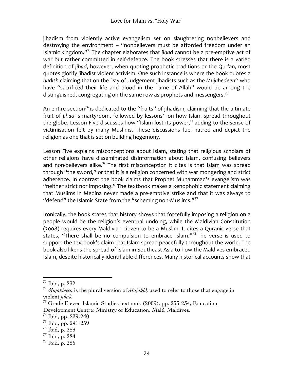jihadism from violently active evangelism set on slaughtering nonbelievers and destroying the environment -- "nonbelievers must be afforded freedom under an Islamic kingdom."<sup>71</sup> The chapter elaborates that *jihad* cannot be a pre-emptive act of war but rather committed in self-defence. The book stresses that there is a varied definition of *jihad*, however, when quoting prophetic traditions or the Qur'an, most quotes glorify jihadist violent activism. One such instance is where the book quotes a *hadith* claiming that on the Day of Judgement jihadists such as the Mujahedeen<sup>72</sup> who have "sacrificed their life and blood in the name of Allah" would be among the distinguished, congregating on the same row as prophets and messengers.<sup>73</sup>

An entire section<sup>74</sup> is dedicated to the "fruits" of jihadism, claiming that the ultimate fruit of *jihad* is martyrdom, followed by lessons<sup>75</sup> on how Islam spread throughout the globe. Lesson Five discusses how "Islam lost its power," adding to the sense of victimisation felt by many Muslims. These discussions fuel hatred and depict the religion as one that is set on building hegemony.

Lesson Five explains misconceptions about Islam, stating that religious scholars of other religions have disseminated disinformation about Islam, confusing believers and non-believers alike.<sup>76</sup> The first misconception it cites is that Islam was spread through "the sword," or that it is a religion concerned with war mongering and strict adherence. In contrast the book claims that Prophet Muhammad's evangelism was "neither strict nor imposing." The textbook makes a xenophobic statement claiming that Muslims in Medina never made a pre-emptive strike and that it was always to "defend" the Islamic State from the "scheming non-Muslims." $77$ 

Ironically, the book states that history shows that forcefully imposing a religion on a people would be the religion's eventual undoing, while the Maldivian Constitution (2008) requires every Maldivian citizen to be a Muslim. It cites a Quranic verse that states, "There shall be no compulsion to embrace Islam."<sup>78</sup> The verse is used to support the textbook's claim that Islam spread peacefully throughout the world. The book also likens the spread of Islam in Southeast Asia to how the Maldives embraced Islam, despite historically identifiable differences. Many historical accounts show that

<sup>71</sup> Ibid, p. 232

<sup>72</sup> *Mujahideen* is the plural version of *Mujahid,* used to refer to those that engage in violent *jihad.*

<sup>&</sup>lt;sup>73</sup> Grade Eleven Islamic Studies textbook (2009), pp. 233-234, Education Development Centre: Ministry of Education, Malé, Maldives.

<sup>74</sup> Ibid, pp. 239-240

 $^{75}$  Ibid, pp. 241-259

<sup>76</sup> Ibid, p. 283

 $77$  Ibid, p. 284

<sup>78</sup> Ibid, p. 285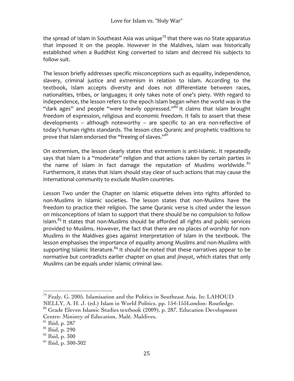the spread of Islam in Southeast Asia was unique<sup>79</sup> that there was no State apparatus that imposed it on the people. However in the Maldives, Islam was historically established when a Buddhist King converted to Islam and decreed his subjects to follow suit.

The lesson briefly addresses specific misconceptions such as equality, independence, slavery, criminal justice and extremism in relation to Islam. According to the textbook, Islam accepts diversity and does not differentiate between races, nationalities, tribes, or languages; it only takes note of one's piety. With regard to independence, the lesson refers to the epoch Islam began when the world was in the "dark ages" and people "were heavily oppressed." $\frac{30}{80}$  It claims that Islam brought freedom of expression, religious and economic freedom. It fails to assert that these developments – although noteworthy – are specific to an era non-reflective of today's human rights standards. The lesson cites Quranic and prophetic traditions to prove that Islam endorsed the "freeing of slaves."<sup>81</sup>

On extremism, the lesson clearly states that extremism is anti-Islamic. It repeatedly says that Islam is a "moderate" religion and that actions taken by certain parties in the name of Islam in fact damage the reputation of Muslims worldwide.  $82$ Furthermore, it states that Islam should stay clear of such actions that may cause the international community to exclude Muslim countries.

Lesson Two under the Chapter on Islamic etiquette delves into rights afforded to non-Muslims in Islamic societies. The lesson states that non-Muslims have the freedom to practice their religion. The same Quranic verse is cited under the lesson on misconceptions of Islam to support that there should be no compulsion to follow Islam.<sup>83</sup> It states that non-Muslims should be afforded all rights and public services provided to Muslims. However, the fact that there are no places of worship for non-Muslims in the Maldives goes against interpretation of Islam in the textbook. The lesson emphasises the importance of equality among Muslims and non-Muslims with supporting Islamic literature.<sup>84</sup> It should be noted that these narratives appear to be normative but contradicts earlier chapter on gisas and *jinayat*, which states that only Muslims can be equals under Islamic criminal law.

  $^{79}$  Fealy, G. 2005. Islamisation and the Politics in Southeast Asia. In: LAHOUD NELLY, A. H. J. (ed.) Islam in World Politics. pp. 154-155London: Routledge.

<sup>&</sup>lt;sup>80</sup> Grade Eleven Islamic Studies textbook (2009), p. 287, Education Development Centre: Ministry of Education, Malé, Maldives.

<sup>81</sup> Ibid, p. 287

 $82$  Ibid, p. 290

 $83$  Ibid, p. 300

<sup>&</sup>lt;sup>84</sup> Ibid, p. 300-302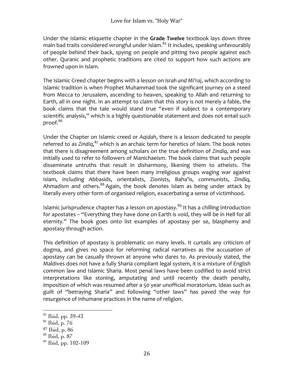Under the Islamic etiquette chapter in the Grade Twelve textbook lays down three main bad traits considered wrongful under Islam. $^{\text{85}}$  It includes, speaking unfavourably of people behind their back, spying on people and pitting two people against each other. Quranic and prophetic traditions are cited to support how such actions are frowned upon in Islam.

The Islamic Creed chapter begins with a lesson on *Israh and Mi'raj*, which according to Islamic tradition is when Prophet Muhammad took the significant journey on a steed from Mecca to Jerusalem, ascending to heaven, speaking to Allah and returning to Earth, all in one night. In an attempt to claim that this story is not merely a fable, the book claims that the tale would stand true "even if subject to a contemporary scientific analysis," which is a highly questionable statement and does not entail such proof.<sup>86</sup>

Under the Chapter on Islamic creed or *Agidah*, there is a lesson dedicated to people referred to as Zindiq,<sup>87</sup> which is an archaic term for heretics of Islam. The book notes that there is disagreement among scholars on the true definition of *Zindiq*, and was initially used to refer to followers of Manichaeism. The book claims that such people disseminate untruths that result in disharmony, likening them to atheists. The textbook claims that there have been many irreligious groups waging war against Islam, including Abbasids, orientalists, Zionists, Baha'is, communists, Zindiq, Ahmadism and others. $88$  Again, the book denotes Islam as being under attack by literally every other form of organised religion, exacerbating a sense of victimhood.

Islamic jurisprudence chapter has a lesson on apostasy.<sup>89</sup> It has a chilling introduction for apostates - "Everything they have done on Earth is void, they will be in Hell for all eternity." The book goes onto list examples of apostasy per se, blasphemy and apostasy through action.

This definition of apostasy is problematic on many levels. It curtails any criticism of dogma, and gives no space for reforming radical narratives as the accusation of apostasy can be casually thrown at anyone who dares to. As previously stated, the Maldives does not have a fully Sharia compliant legal system, it is a mixture of English common law and Islamic Sharia. Most penal laws have been codified to avoid strict interpretations like stoning, amputating and until recently the death penalty, imposition of which was resumed after a 50 year unofficial moratorium. Ideas such as guilt of "betraying Sharia" and following "other laws" has paved the way for resurgence of inhumane practices in the name of religion.

<sup>85</sup> Ibid, pp. 39-43

<sup>86</sup> Ibid, p. 76

<sup>87</sup> Ibid, p. 86

<sup>88</sup> Ibid, p. 87

<sup>89</sup> Ibid, pp. 102-109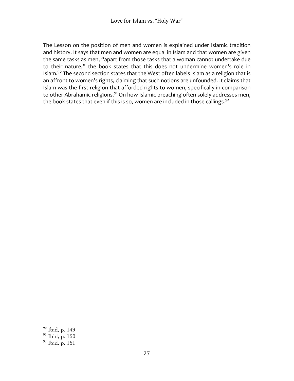The Lesson on the position of men and women is explained under Islamic tradition and history. It says that men and women are equal in Islam and that women are given the same tasks as men, "apart from those tasks that a woman cannot undertake due to their nature," the book states that this does not undermine women's role in Islam. $^{90}$  The second section states that the West often labels Islam as a religion that is an affront to women's rights, claiming that such notions are unfounded. It claims that Islam was the first religion that afforded rights to women, specifically in comparison to other Abrahamic religions.<sup>91</sup> On how Islamic preaching often solely addresses men, the book states that even if this is so, women are included in those callings.<sup>92</sup>

<sup>90</sup> Ibid, p. 149

 $91$  Ibid, p. 150

 $92$  Ibid, p. 151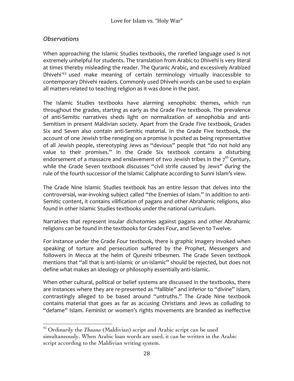### *Observations*

When approaching the Islamic Studies textbooks, the rarefied language used is not extremely unhelpful for students. The translation from Arabic to Dhivehi is very literal at times thereby misleading the reader. The Quranic Arabic, and excessively Arabized Dhivehi<sup>93</sup> used make meaning of certain terminology virtually inaccessible to contemporary Dhivehi readers. Commonly used Dhivehi words can be used to explain all matters related to teaching religion as it was done in the past.

The Islamic Studies textbooks have alarming xenophobic themes, which run throughout the grades, starting as early as the Grade Five textbook. The prevalence of anti-Semitic narratives sheds light on normalization of xenophobia and anti-Semitism in present Maldivian society. Apart from the Grade Five textbook, Grades Six and Seven also contain anti-Semitic material. In the Grade Five textbook, the account of one Jewish tribe reneging on a promise is posited as being representative of all Jewish people, stereotyping Jews as "devious" people that "do not hold any value to their promises." In the Grade Six textbook contains a disturbing endorsement of a massacre and enslavement of two Jewish tribes in the  $7<sup>th</sup>$  Century, while the Grade Seven textbook discusses "civil strife caused by Jews" during the rule of the fourth successor of the Islamic Caliphate according to Sunni Islam's view.

The Grade Nine Islamic Studies textbook has an entire lesson that delves into the controversial, war-invoking subject called "the Enemies of Islam." In addition to anti-Semitic content, it contains vilification of pagans and other Abrahamic religions, also found in other Islamic Studies textbooks under the national curriculum.

Narratives that represent insular dichotomies against pagans and other Abrahamic religions can be found in the textbooks for Grades Four, and Seven to Twelve.

For instance under the Grade Four textbook, there is graphic imagery invoked when speaking of torture and persecution suffered by the Prophet, Messengers and followers in Mecca at the helm of Qureshi tribesmen. The Grade Seven textbook mentions that "all that is anti-Islamic or un-Islamic" should be rejected, but does not define what makes an ideology or philosophy essentially anti-Islamic.

When other cultural, political or belief systems are discussed in the textbooks, there are instances where they are re-presented as "fallible" and inferior to "divine" Islam, contrastingly alleged to be based around "untruths." The Grade Nine textbook contains material that goes as far as accusing Christians and Jews as colluding to "defame" Islam. Feminist or women's rights movements are branded as ineffective

 <sup>93</sup> Ordinarily the *Thaana* (Maldivian) script and Arabic script can be used simultaneously. When Arabic loan words are used, it can be written in the Arabic script according to the Maldivian writing system.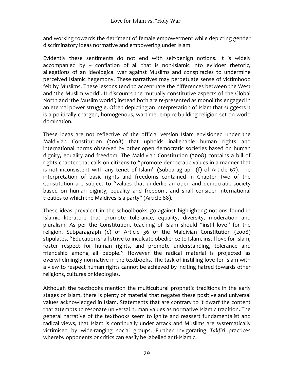and working towards the detriment of female empowerment while depicting gender discriminatory ideas normative and empowering under Islam.

Evidently these sentiments do not end with self-benign notions. It is widely accompanied by  $-$  conflation of all that is non-Islamic into evildoer rhetoric, allegations of an ideological war against Muslims and conspiracies to undermine perceived Islamic hegemony. These narratives may perpetuate sense of victimhood felt by Muslims. These lessons tend to accentuate the differences between the West and 'the Muslim world'. It discounts the mutually constitutive aspects of the Global North and 'the Muslim world'; instead both are *re-*presented as monoliths engaged in an eternal power struggle. Often depicting an interpretation of Islam that suggests it is a politically charged, homogenous, wartime, empire-building religion set on world domination. 

These ideas are not reflective of the official version Islam envisioned under the Maldivian Constitution (2008) that upholds inalienable human rights and international norms observed by other open democratic societies based on human dignity, equality and freedom. The Maldivian Constitution (2008) contains a bill of rights chapter that calls on citizens to "promote democratic values in a manner that is not inconsistent with any tenet of Islam" (Subparagraph (f) of Article 67). The interpretation of basic rights and freedoms contained in Chapter Two of the Constitution are subject to "values that underlie an open and democratic society based on human dignity, equality and freedom, and shall consider international treaties to which the Maldives is a party" (Article  $68$ ).

These ideas prevalent in the schoolbooks go against highlighting notions found in Islamic literature that promote tolerance, equality, diversity, moderation and pluralism. As per the Constitution, teaching of Islam should "instil love" for the religion. Subparagraph (c) of Article 36 of the Maldivian Constitution (2008) stipulates, "Education shall strive to inculcate obedience to Islam, instil love for Islam, foster respect for human rights, and promote understanding, tolerance and friendship among all people." However the radical material is projected as overwhelmingly normative in the textbooks. The task of instilling love for Islam with a view to respect human rights cannot be achieved by inciting hatred towards other religions, cultures or ideologies.

Although the textbooks mention the multicultural prophetic traditions in the early stages of Islam, there is plenty of material that negates these positive and universal values acknowledged in Islam. Statements that are contrary to it dwarf the content that attempts to resonate universal human values as normative Islamic tradition. The general narrative of the textbooks seem to ignite and reassert fundamentalist and radical views, that Islam is continually under attack and Muslims are systematically victimised by wide-ranging social groups. Further invigorating *Takfiri*  practices whereby opponents or critics can easily be labelled anti-Islamic.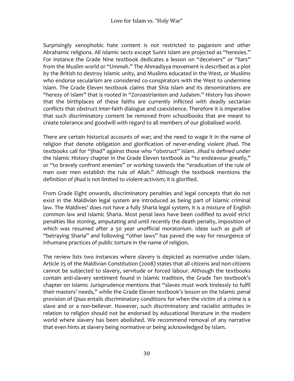Surprisingly xenophobic hate content is not restricted to paganism and other Abrahamic religions. All Islamic sects except Sunni Islam are projected as "heresies." For instance the Grade Nine textbook dedicates a lesson on "deceivers" or "liars" from the Muslim world or "Ummah." The Ahmadiyya movement is described as a plot by the British to destroy Islamic unity, and Muslims educated in the West, or Muslims who endorse secularism are considered co-conspirators with the West to undermine Islam. The Grade Eleven textbook claims that Shia Islam and its denominations are "heresy of Islam" that is rooted in "Zoroastrianism and Judaism." History has shown that the birthplaces of these faiths are currently inflicted with deadly sectarian conflicts that obstruct inter-faith dialogue and coexistence. Therefore it is imperative that such discriminatory content be removed from schoolbooks that are meant to create tolerance and goodwill with regard to all members of our globalised world.

There are certain historical accounts of war; and the need to wage it in the name of religion that denote obligation and glorification of never-ending violent *jihad*. The textbooks call for "jihad" against those who "obstruct" Islam. *Jihad* is defined under the Islamic History chapter in the Grade Eleven textbook as "to endeavour greatly," or "to bravely confront enemies" or working towards the "eradication of the rule of men over men establish the rule of Allah." Although the textbook mentions the definition of *jihad* is not limited to violent-activism; it is glorified.

From Grade Eight onwards, discriminatory penalties and legal concepts that do not exist in the Maldivian legal system are introduced as being part of Islamic criminal law. The Maldives' does not have a fully Sharia legal system, it is a mixture of English common law and Islamic Sharia. Most penal laws have been codified to avoid strict penalties like stoning, amputating and until recently the death penalty, imposition of which was resumed after a 50 year unofficial moratorium. Ideas such as guilt of "betraying Sharia" and following "other laws" has paved the way for resurgence of inhumane practices of public torture in the name of religion.

The review lists two instances where slavery is depicted as normative under Islam. Article 25 of the Maldivian Constitution (2008) states that all citizens and non-citizens cannot be subjected to slavery, servitude or forced labour. Although the textbooks contain anti-slavery sentiment found in Islamic tradition, the Grade Ten textbook's chapter on Islamic Jurisprudence mentions that "slaves must work tirelessly to fulfil their masters' needs," while the Grade Eleven textbook's lesson on the Islamic penal provision of Qisas entails discriminatory conditions for when the victim of a crime is a slave and or a non-believer. However, such discriminatory and racialist attitudes in relation to religion should not be endorsed by educational literature in the modern world where slavery has been abolished. We recommend removal of any narrative that even hints at slavery being normative or being acknowledged by Islam.